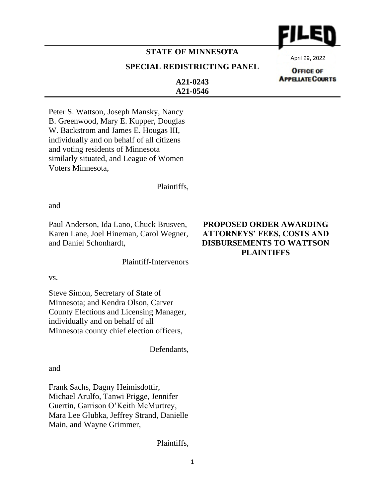

## **STATE OF MINNESOTA**

#### **SPECIAL REDISTRICTING PANEL**

April 29, 2022

**OFFICE OF APPELATE COURTS** 

**A21-0243 A21-0546**

Peter S. Wattson, Joseph Mansky, Nancy B. Greenwood, Mary E. Kupper, Douglas W. Backstrom and James E. Hougas III, individually and on behalf of all citizens and voting residents of Minnesota similarly situated, and League of Women Voters Minnesota,

Plaintiffs,

and

Paul Anderson, Ida Lano, Chuck Brusven, Karen Lane, Joel Hineman, Carol Wegner, and Daniel Schonhardt,

Plaintiff-Intervenors

vs.

Steve Simon, Secretary of State of Minnesota; and Kendra Olson, Carver County Elections and Licensing Manager, individually and on behalf of all Minnesota county chief election officers,

Defendants,

and

Frank Sachs, Dagny Heimisdottir, Michael Arulfo, Tanwi Prigge, Jennifer Guertin, Garrison O'Keith McMurtrey, Mara Lee Glubka, Jeffrey Strand, Danielle Main, and Wayne Grimmer,

Plaintiffs,

### **PROPOSED ORDER AWARDING ATTORNEYS' FEES, COSTS AND DISBURSEMENTS TO WATTSON PLAINTIFFS**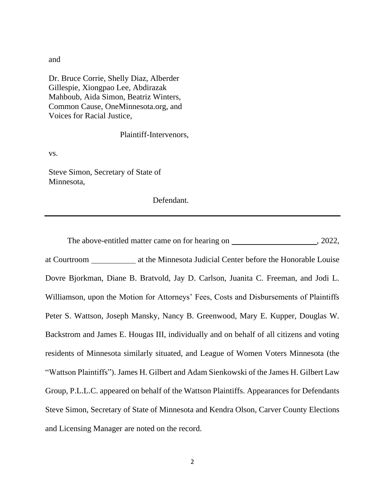and

Dr. Bruce Corrie, Shelly Diaz, Alberder Gillespie, Xiongpao Lee, Abdirazak Mahboub, Aida Simon, Beatriz Winters, Common Cause, OneMinnesota.org, and Voices for Racial Justice,

Plaintiff-Intervenors,

vs.

Steve Simon, Secretary of State of Minnesota,

Defendant.

The above-entitled matter came on for hearing on , 2022, at Courtroom at the Minnesota Judicial Center before the Honorable Louise Dovre Bjorkman, Diane B. Bratvold, Jay D. Carlson, Juanita C. Freeman, and Jodi L. Williamson, upon the Motion for Attorneys' Fees, Costs and Disbursements of Plaintiffs Peter S. Wattson, Joseph Mansky, Nancy B. Greenwood, Mary E. Kupper, Douglas W. Backstrom and James E. Hougas III, individually and on behalf of all citizens and voting residents of Minnesota similarly situated, and League of Women Voters Minnesota (the "Wattson Plaintiffs"). James H. Gilbert and Adam Sienkowski of the James H. Gilbert Law Group, P.L.L.C. appeared on behalf of the Wattson Plaintiffs. Appearances for Defendants Steve Simon, Secretary of State of Minnesota and Kendra Olson, Carver County Elections and Licensing Manager are noted on the record.